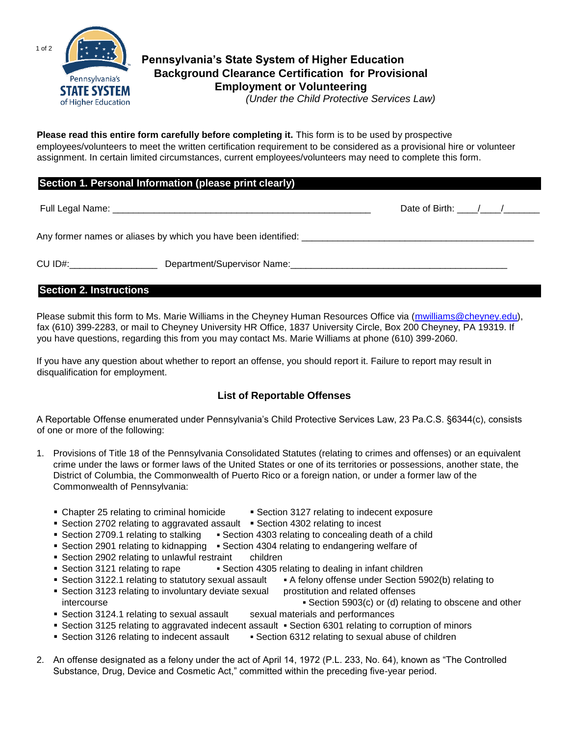

# **Pennsylvania's State System of Higher Education Background Clearance Certification for Provisional Employment or Volunteering**  *(Under the Child Protective Services Law)*

**Please read this entire form carefully before completing it.** This form is to be used by prospective employees/volunteers to meet the written certification requirement to be considered as a provisional hire or volunteer assignment. In certain limited circumstances, current employees/volunteers may need to complete this form.

## **Section 1. Personal Information (please print clearly)**

Full Legal Name: \_\_\_\_\_\_\_\_\_\_\_\_\_\_\_\_\_\_\_\_\_\_\_\_\_\_\_\_\_\_\_\_\_\_\_\_\_\_\_\_\_\_\_\_\_\_\_\_\_\_ Date of Birth: \_\_\_\_/\_\_\_\_/\_\_\_\_\_\_\_

Any former names or aliases by which you have been identified: \_\_\_\_\_\_\_\_\_\_\_\_\_\_\_\_\_

CU ID#:\_\_\_\_\_\_\_\_\_\_\_\_\_\_\_\_\_\_\_\_\_\_\_\_\_\_\_\_Department/Supervisor Name:\_\_\_\_\_\_\_\_\_\_\_\_\_\_\_\_\_\_

## **Section 2. Instructions**

Please submit this form to Ms. Marie Williams in the Cheyney Human Resources Office via (mwilliams@cheyney.edu), fax (610) 399-2283, or mail to Cheyney University HR Office, 1837 University Circle, Box 200 Cheyney, PA 19319. If you have questions, regarding this from you may contact Ms. Marie Williams at phone (610) 399-2060.

If you have any question about whether to report an offense, you should report it. Failure to report may result in disqualification for employment.

## **List of Reportable Offenses**

A Reportable Offense enumerated under Pennsylvania's Child Protective Services Law, 23 Pa.C.S. §6344(c), consists of one or more of the following:

- 1. Provisions of Title 18 of the Pennsylvania Consolidated Statutes (relating to crimes and offenses) or an equivalent crime under the laws or former laws of the United States or one of its territories or possessions, another state, the District of Columbia, the Commonwealth of Puerto Rico or a foreign nation, or under a former law of the Commonwealth of Pennsylvania:
	- Chapter 25 relating to criminal homicide Section 3127 relating to indecent exposure
	- Section 2702 relating to aggravated assault Section 4302 relating to incest
	- Section 2709.1 relating to stalking <br>Section 4303 relating to concealing death of a child
	- Section 2901 relating to kidnapping Section 4304 relating to endangering welfare of
	- **Section 2902 relating to unlawful restraint** children
	- Section 3121 relating to rape Section 4305 relating to dealing in infant children
	- Section 3122.1 relating to statutory sexual assault A felony offense under Section 5902(b) relating to
	- Section 3123 relating to involuntary deviate sexual prostitution and related offenses intercourse **Section 5903(c)** or (d) relating to obscene and other **Section 5903(c)** or (d) relating to obscene and other
	- **Section 3124.1 relating to sexual assault sexual materials and performances**
	- Section 3125 relating to aggravated indecent assault Section 6301 relating to corruption of minors
	- Section 3126 relating to indecent assault Section 6312 relating to sexual abuse of children
- 2. An offense designated as a felony under the act of April 14, 1972 (P.L. 233, No. 64), known as "The Controlled Substance, Drug, Device and Cosmetic Act," committed within the preceding five-year period.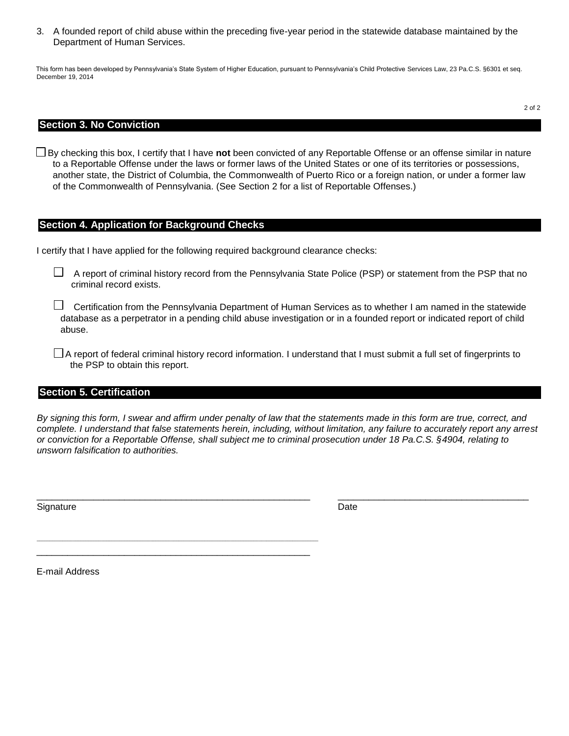3. A founded report of child abuse within the preceding five-year period in the statewide database maintained by the Department of Human Services.

This form has been developed by Pennsylvania's State System of Higher Education, pursuant to Pennsylvania's Child Protective Services Law, 23 Pa.C.S. §6301 et seq. December 19, 2014

## **Section 3. No Conviction**

By checking this box, I certify that I have **not** been convicted of any Reportable Offense or an offense similar in nature to a Reportable Offense under the laws or former laws of the United States or one of its territories or possessions, another state, the District of Columbia, the Commonwealth of Puerto Rico or a foreign nation, or under a former law of the Commonwealth of Pennsylvania. (See Section 2 for a list of Reportable Offenses.)

## **Section 4. Application for Background Checks**

I certify that I have applied for the following required background clearance checks:

 $\_$  , and the set of the set of the set of the set of the set of the set of the set of the set of the set of the set of the set of the set of the set of the set of the set of the set of the set of the set of the set of th \_\_\_\_\_\_\_\_\_\_\_\_\_\_\_\_\_\_\_\_\_\_\_\_\_\_\_\_\_\_\_\_\_\_\_\_\_\_\_\_\_\_\_\_\_\_\_\_\_\_\_\_\_

A report of criminal history record from the Pennsylvania State Police (PSP) or statement from the PSP that no criminal record exists.

 $\Box$  Certification from the Pennsylvania Department of Human Services as to whether I am named in the statewide database as a perpetrator in a pending child abuse investigation or in a founded report or indicated report of child abuse.

 $\Box$  A report of federal criminal history record information. I understand that I must submit a full set of fingerprints to the PSP to obtain this report.

#### **Section 5. Certification**

*By signing this form, I swear and affirm under penalty of law that the statements made in this form are true, correct, and complete. I understand that false statements herein, including, without limitation, any failure to accurately report any arrest or conviction for a Reportable Offense, shall subject me to criminal prosecution under 18 Pa.C.S. §4904, relating to unsworn falsification to authorities.* 

\_\_\_\_\_\_\_\_\_\_\_\_\_\_\_\_\_\_\_\_\_\_\_\_\_\_\_\_\_\_\_\_\_\_\_\_\_\_\_\_\_\_\_\_\_\_\_\_\_\_\_\_\_ \_\_\_\_\_\_\_\_\_\_\_\_\_\_\_\_\_\_\_\_\_\_\_\_\_\_\_\_\_\_\_\_\_\_\_\_\_

Signature Date Date of the Date of the Date of the Date of the Date of the Date of the Date of the Date of the Date of the Date of the Date of the Date of the Date of the Date of the Date of the Date of the Date of the Dat

E-mail Address

2 of 2